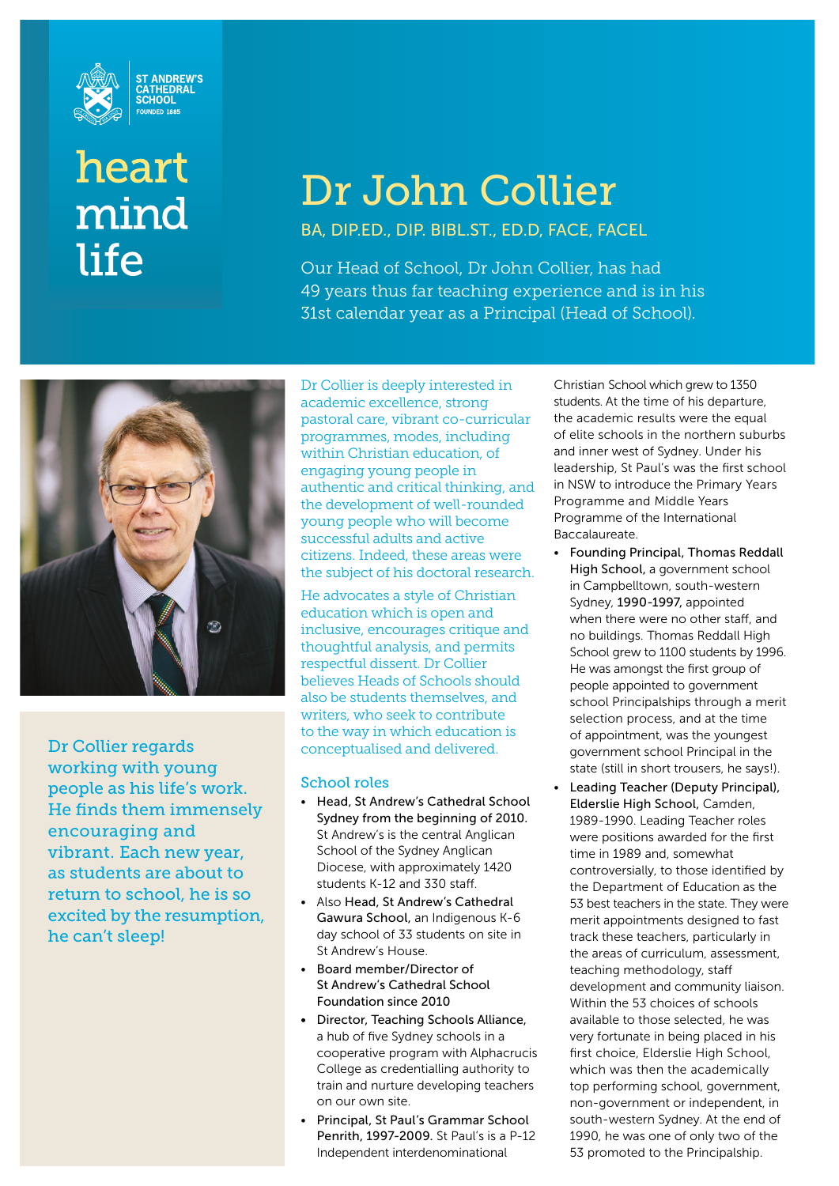

# heart mind life

# Dr John Collier

BA, DIP.ED., DIP. BIBL.ST., ED.D, FACE, FACEL

Our Head of School, Dr John Collier, has had 49 years thus far teaching experience and is in his 31st calendar year as a Principal (Head of School).



Dr Collier regards working with young people as his life's work. He finds them immensely encouraging and vibrant. Each new year, as students are about to return to school, he is so excited by the resumption, he can't sleep!

Dr Collier is deeply interested in academic excellence, strong pastoral care, vibrant co-curricular programmes, modes, including within Christian education, of engaging young people in authentic and critical thinking, and the development of well-rounded young people who will become successful adults and active citizens. Indeed, these areas were the subject of his doctoral research.

He advocates a style of Christian education which is open and inclusive, encourages critique and thoughtful analysis, and permits respectful dissent. Dr Collier believes Heads of Schools should also be students themselves, and writers, who seek to contribute to the way in which education is conceptualised and delivered.

#### School roles

- Head, St Andrew's Cathedral School Sydney from the beginning of 2010. St Andrew's is the central Anglican School of the Sydney Anglican Diocese, with approximately 1420 students K-12 and 330 staff.
- Also Head, St Andrew's Cathedral Gawura School, an Indigenous K-6 day school of 33 students on site in St Andrew's House.
- Board member/Director of St Andrew's Cathedral School Foundation since 2010
- Director, Teaching Schools Alliance, a hub of five Sydney schools in a cooperative program with Alphacrucis College as credentialling authority to train and nurture developing teachers on our own site.
- Principal, St Paul's Grammar School Penrith, 1997-2009. St Paul's is a P-12 Independent interdenominational

Christian School which grew to 1350 students. At the time of his departure, the academic results were the equal of elite schools in the northern suburbs and inner west of Sydney. Under his leadership, St Paul's was the first school in NSW to introduce the Primary Years Programme and Middle Years Programme of the International Baccalaureate.

- Founding Principal, Thomas Reddall High School, a government school in Campbelltown, south-western Sydney, 1990-1997, appointed when there were no other staff, and no buildings. Thomas Reddall High School grew to 1100 students by 1996. He was amongst the first group of people appointed to government school Principalships through a merit selection process, and at the time of appointment, was the youngest government school Principal in the state (still in short trousers, he says!).
- Leading Teacher (Deputy Principal), Elderslie High School, Camden, 1989-1990. Leading Teacher roles were positions awarded for the first time in 1989 and, somewhat controversially, to those identified by the Department of Education as the 53 best teachers in the state. They were merit appointments designed to fast track these teachers, particularly in the areas of curriculum, assessment, teaching methodology, staff development and community liaison. Within the 53 choices of schools available to those selected, he was very fortunate in being placed in his first choice, Elderslie High School, which was then the academically top performing school, government, non-government or independent, in south-western Sydney. At the end of 1990, he was one of only two of the 53 promoted to the Principalship.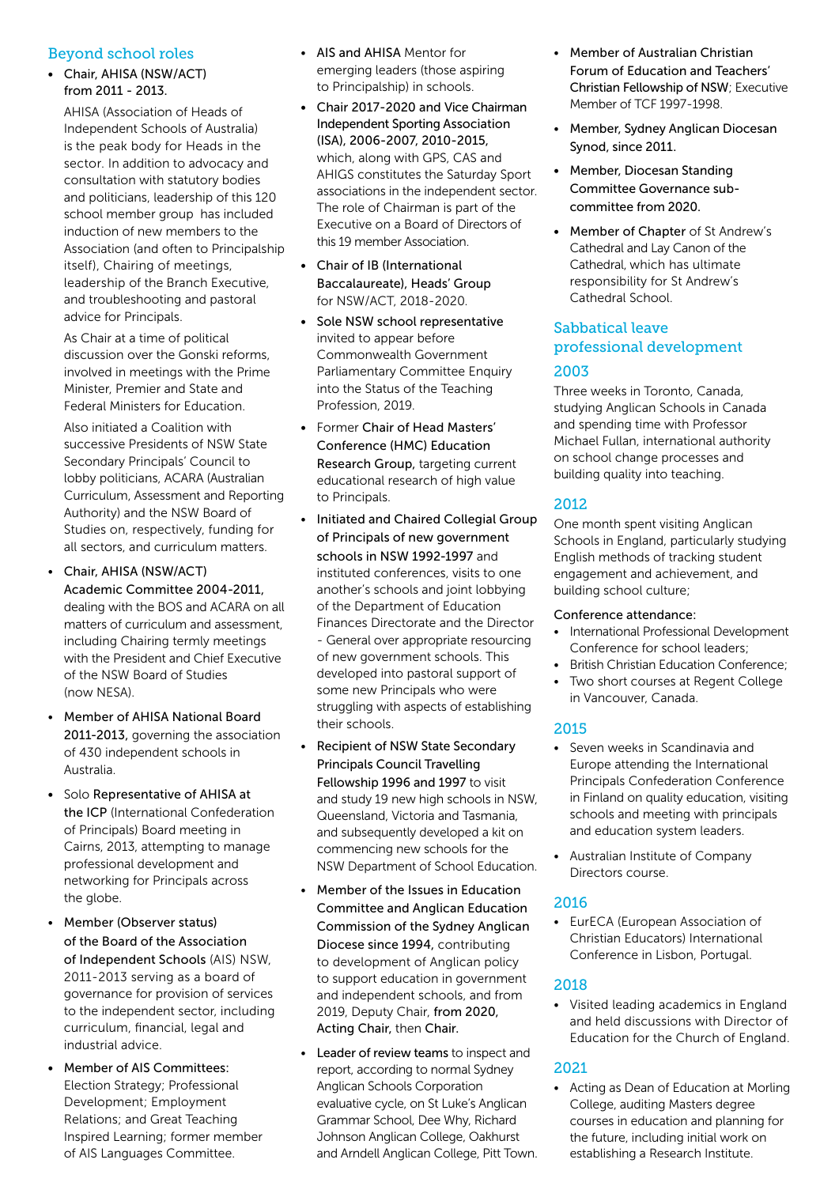#### Beyond school roles

• Chair, AHISA (NSW/ACT) from 2011 - 2013.

 AHISA (Association of Heads of Independent Schools of Australia) is the peak body for Heads in the sector. In addition to advocacy and consultation with statutory bodies and politicians, leadership of this 120 school member group has included induction of new members to the Association (and often to Principalship itself), Chairing of meetings, leadership of the Branch Executive, and troubleshooting and pastoral advice for Principals.

 As Chair at a time of political discussion over the Gonski reforms, involved in meetings with the Prime Minister, Premier and State and Federal Ministers for Education.

 Also initiated a Coalition with successive Presidents of NSW State Secondary Principals' Council to lobby politicians, ACARA (Australian Curriculum, Assessment and Reporting Authority) and the NSW Board of Studies on, respectively, funding for all sectors, and curriculum matters.

- Chair, AHISA (NSW/ACT) Academic Committee 2004-2011, dealing with the BOS and ACARA on all matters of curriculum and assessment, including Chairing termly meetings with the President and Chief Executive of the NSW Board of Studies (now NESA).
- Member of AHISA National Board 2011-2013, governing the association of 430 independent schools in Australia.
- Solo Representative of AHISA at the ICP (International Confederation of Principals) Board meeting in Cairns, 2013, attempting to manage professional development and networking for Principals across the globe.
- Member (Observer status) of the Board of the Association of Independent Schools (AIS) NSW, 2011-2013 serving as a board of governance for provision of services to the independent sector, including curriculum, financial, legal and industrial advice.
- Member of AIS Committees: Election Strategy; Professional Development; Employment Relations; and Great Teaching Inspired Learning; former member of AIS Languages Committee.
- AIS and AHISA Mentor for emerging leaders (those aspiring to Principalship) in schools.
- Chair 2017-2020 and Vice Chairman Independent Sporting Association (ISA), 2006-2007, 2010-2015, which, along with GPS, CAS and AHIGS constitutes the Saturday Sport associations in the independent sector. The role of Chairman is part of the Executive on a Board of Directors of this 19 member Association.
- Chair of IB (International Baccalaureate), Heads' Group for NSW/ACT, 2018-2020.
- Sole NSW school representative invited to appear before Commonwealth Government Parliamentary Committee Enquiry into the Status of the Teaching Profession, 2019.
- Former Chair of Head Masters' Conference (HMC) Education Research Group, targeting current educational research of high value to Principals.
- Initiated and Chaired Collegial Group of Principals of new government schools in NSW 1992-1997 and instituted conferences, visits to one another's schools and joint lobbying of the Department of Education Finances Directorate and the Director - General over appropriate resourcing of new government schools. This developed into pastoral support of some new Principals who were struggling with aspects of establishing their schools.
- Recipient of NSW State Secondary Principals Council Travelling Fellowship 1996 and 1997 to visit and study 19 new high schools in NSW, Queensland, Victoria and Tasmania, and subsequently developed a kit on commencing new schools for the NSW Department of School Education.
- Member of the Issues in Education Committee and Anglican Education Commission of the Sydney Anglican Diocese since 1994, contributing to development of Anglican policy to support education in government and independent schools, and from 2019, Deputy Chair, from 2020, Acting Chair, then Chair.
- Leader of review teams to inspect and report, according to normal Sydney Anglican Schools Corporation evaluative cycle, on St Luke's Anglican Grammar School, Dee Why, Richard Johnson Anglican College, Oakhurst and Arndell Anglican College, Pitt Town.
- Member of Australian Christian Forum of Education and Teachers' Christian Fellowship of NSW; Executive Member of TCF 1997-1998.
- Member, Sydney Anglican Diocesan Synod, since 2011.
- Member, Diocesan Standing Committee Governance subcommittee from 2020.
- Member of Chapter of St Andrew's Cathedral and Lay Canon of the Cathedral, which has ultimate responsibility for St Andrew's Cathedral School.

## Sabbatical leave professional development 2003

Three weeks in Toronto, Canada, studying Anglican Schools in Canada and spending time with Professor Michael Fullan, international authority on school change processes and building quality into teaching.

#### 2012

One month spent visiting Anglican Schools in England, particularly studying English methods of tracking student engagement and achievement, and building school culture;

#### Conference attendance:

- International Professional Development Conference for school leaders;
- British Christian Education Conference;
- Two short courses at Regent College in Vancouver, Canada.

#### 2015

- Seven weeks in Scandinavia and Europe attending the International Principals Confederation Conference in Finland on quality education, visiting schools and meeting with principals and education system leaders.
- Australian Institute of Company Directors course.

#### 2016

• EurECA (European Association of Christian Educators) International Conference in Lisbon, Portugal.

#### 2018

• Visited leading academics in England and held discussions with Director of Education for the Church of England.

#### 2021

• Acting as Dean of Education at Morling College, auditing Masters degree courses in education and planning for the future, including initial work on establishing a Research Institute.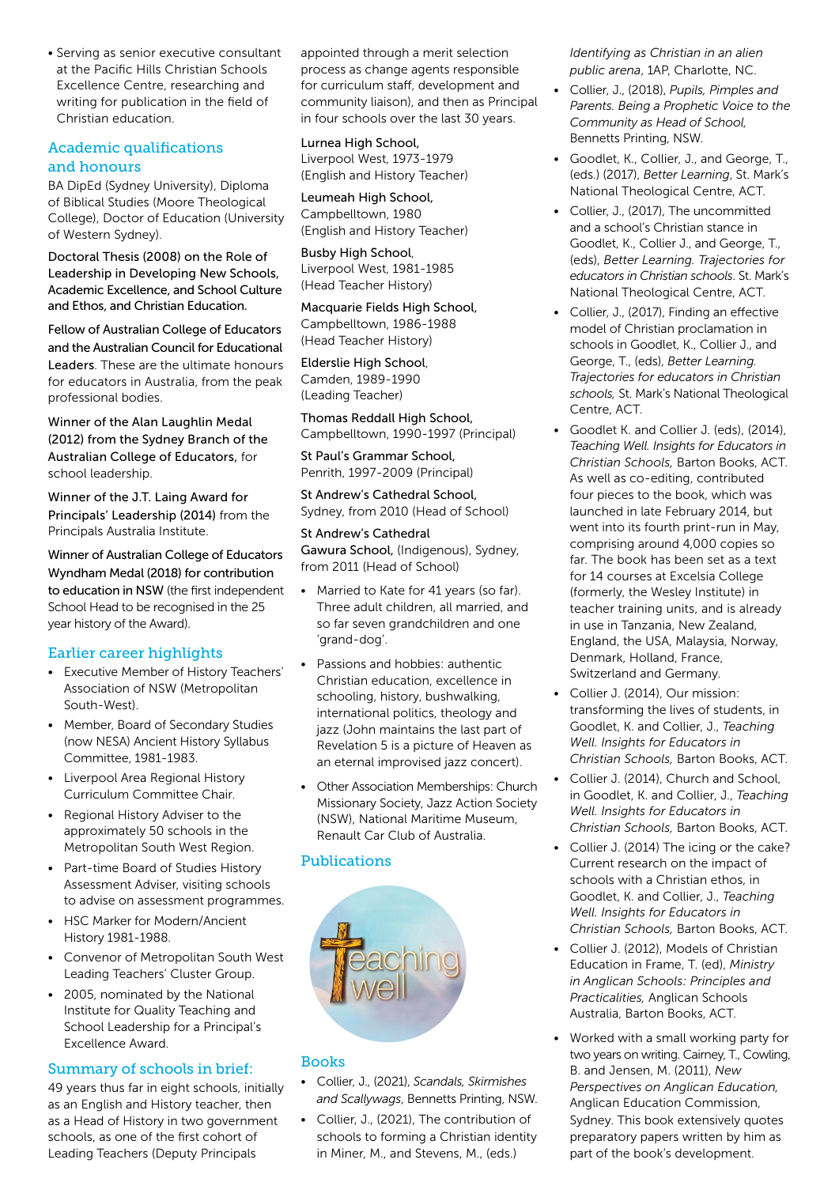• Serving as senior executive consultant at the Pacific Hills Christian Schools Excellence Centre, researching and writing for publication in the field of Christian education.

#### Academic qualifications and honours

BA DipEd (Sydney University), Diploma of Biblical Studies (Moore Theological College), Doctor of Education (University of Western Sydney).

Doctoral Thesis (2008) on the Role of Leadership in Developing New Schools, Academic Excellence, and School Culture and Ethos, and Christian Education.

Fellow of Australian College of Educators and the Australian Council for Educational Leaders. These are the ultimate honours for educators in Australia, from the peak professional bodies.

Winner of the Alan Laughlin Medal (2012) from the Sydney Branch of the Australian College of Educators, for school leadership.

Winner of the J.T. Laing Award for Principals' Leadership (2014) from the Principals Australia Institute.

Winner of Australian College of Educators Wyndham Medal (2018) for contribution to education in NSW (the first independent School Head to be recognised in the 25 year history of the Award).

#### Earlier career highlights

- Executive Member of History Teachers' Association of NSW (Metropolitan South-West).
- Member, Board of Secondary Studies (now NESA) Ancient History Syllabus Committee, 1981-1983.
- Liverpool Area Regional History Curriculum Committee Chair.
- Regional History Adviser to the approximately 50 schools in the Metropolitan South West Region.
- Part-time Board of Studies History Assessment Adviser, visiting schools to advise on assessment programmes.
- HSC Marker for Modern/Ancient History 1981-1988.
- Convenor of Metropolitan South West Leading Teachers' Cluster Group.
- 2005, nominated by the National Institute for Quality Teaching and School Leadership for a Principal's Excellence Award.

#### Summary of schools in brief:

49 years thus far in eight schools, initially as an English and History teacher, then as a Head of History in two government schools, as one of the first cohort of Leading Teachers (Deputy Principals

appointed through a merit selection process as change agents responsible for curriculum staff, development and community liaison), and then as Principal in four schools over the last 30 years.

Lurnea High School, Liverpool West, 1973-1979 (English and History Teacher)

Leumeah High School, Campbelltown, 1980 (English and History Teacher)

Busby High School, Liverpool West, 1981-1985 (Head Teacher History)

Macquarie Fields High School, Campbelltown, 1986-1988 (Head Teacher History)

Elderslie High School, Camden, 1989-1990 (Leading Teacher)

Thomas Reddall High School, Campbelltown, 1990-1997 (Principal)

St Paul's Grammar School, Penrith, 1997-2009 (Principal)

St Andrew's Cathedral School, Sydney, from 2010 (Head of School)

St Andrew's Cathedral Gawura School, (Indigenous), Sydney, from 2011 (Head of School)

- Married to Kate for 41 years (so far). Three adult children, all married, and so far seven grandchildren and one 'grand-dog'.
- Passions and hobbies: authentic Christian education, excellence in schooling, history, bushwalking, international politics, theology and jazz (John maintains the last part of Revelation 5 is a picture of Heaven as an eternal improvised jazz concert).
- Other Association Memberships: Church Missionary Society, Jazz Action Society (NSW), National Maritime Museum, Renault Car Club of Australia.

#### Publications



#### Books

- Collier, J., (2021), *Scandals, Skirmishes and Scallywags*, Bennetts Printing, NSW.
- Collier, J., (2021), The contribution of schools to forming a Christian identity in Miner, M., and Stevens, M., (eds.)

*Identifying as Christian in an alien public arena*, 1AP, Charlotte, NC.

- Collier, J., (2018), *Pupils, Pimples and Parents. Being a Prophetic Voice to the Community as Head of School,*  Bennetts Printing, NSW.
- Goodlet, K., Collier, J., and George, T., (eds.) (2017), *Better Learning*, St. Mark's National Theological Centre, ACT.
- Collier, J., (2017), The uncommitted and a school's Christian stance in Goodlet, K., Collier J., and George, T., (eds), *Better Learning. Trajectories for educators in Christian schools*. St. Mark's National Theological Centre, ACT.
- Collier, J., (2017), Finding an effective model of Christian proclamation in schools in Goodlet, K., Collier J., and George, T., (eds), *Better Learning. Trajectories for educators in Christian schools,* St. Mark's National Theological Centre, ACT.
- Goodlet K. and Collier J. (eds), (2014), *Teaching Well. Insights for Educators in Christian Schools,* Barton Books, ACT. As well as co-editing, contributed four pieces to the book, which was launched in late February 2014, but went into its fourth print-run in May, comprising around 4,000 copies so far. The book has been set as a text for 14 courses at Excelsia College (formerly, the Wesley Institute) in teacher training units, and is already in use in Tanzania, New Zealand, England, the USA, Malaysia, Norway, Denmark, Holland, France, Switzerland and Germany.
- Collier J. (2014), Our mission: transforming the lives of students, in Goodlet, K. and Collier, J., *Teaching Well. Insights for Educators in Christian Schools,* Barton Books, ACT.
- Collier J. (2014), Church and School, in Goodlet, K. and Collier, J., *Teaching Well. Insights for Educators in Christian Schools,* Barton Books, ACT.
- Collier J. (2014) The icing or the cake? Current research on the impact of schools with a Christian ethos, in Goodlet, K. and Collier, J., *Teaching Well. Insights for Educators in Christian Schools,* Barton Books, ACT.
- Collier J. (2012), Models of Christian Education in Frame, T. (ed), *Ministry in Anglican Schools: Principles and Practicalities,* Anglican Schools Australia, Barton Books, ACT.
- Worked with a small working party for two years on writing. Cairney, T., Cowling, B. and Jensen, M. (2011), *New Perspectives on Anglican Education,* Anglican Education Commission, Sydney. This book extensively quotes preparatory papers written by him as part of the book's development.